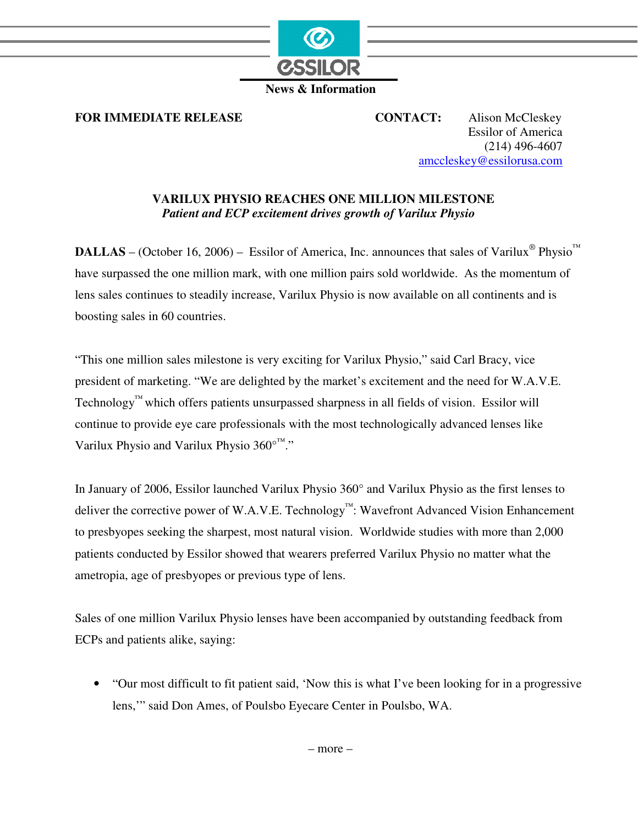

 **News & Information** 

**FOR IMMEDIATE RELEASE CONTACT:** Alison McCleskey

Essilor of America (214) 496-4607 amccleskey@essilorusa.com

## **VARILUX PHYSIO REACHES ONE MILLION MILESTONE**  *Patient and ECP excitement drives growth of Varilux Physio*

**DALLAS** – (October 16, 2006) – Essilor of America, Inc. announces that sales of Varilux<sup>®</sup> Physio<sup>™</sup> have surpassed the one million mark, with one million pairs sold worldwide. As the momentum of lens sales continues to steadily increase, Varilux Physio is now available on all continents and is boosting sales in 60 countries.

"This one million sales milestone is very exciting for Varilux Physio," said Carl Bracy, vice president of marketing. "We are delighted by the market's excitement and the need for W.A.V.E. Technology™ which offers patients unsurpassed sharpness in all fields of vision. Essilor will continue to provide eye care professionals with the most technologically advanced lenses like Varilux Physio and Varilux Physio 360°<sup>™</sup>."

In January of 2006, Essilor launched Varilux Physio 360° and Varilux Physio as the first lenses to deliver the corrective power of W.A.V.E. Technology™: Wavefront Advanced Vision Enhancement to presbyopes seeking the sharpest, most natural vision. Worldwide studies with more than 2,000 patients conducted by Essilor showed that wearers preferred Varilux Physio no matter what the ametropia, age of presbyopes or previous type of lens.

Sales of one million Varilux Physio lenses have been accompanied by outstanding feedback from ECPs and patients alike, saying:

• "Our most difficult to fit patient said, 'Now this is what I've been looking for in a progressive lens,'" said Don Ames, of Poulsbo Eyecare Center in Poulsbo, WA.

– more –